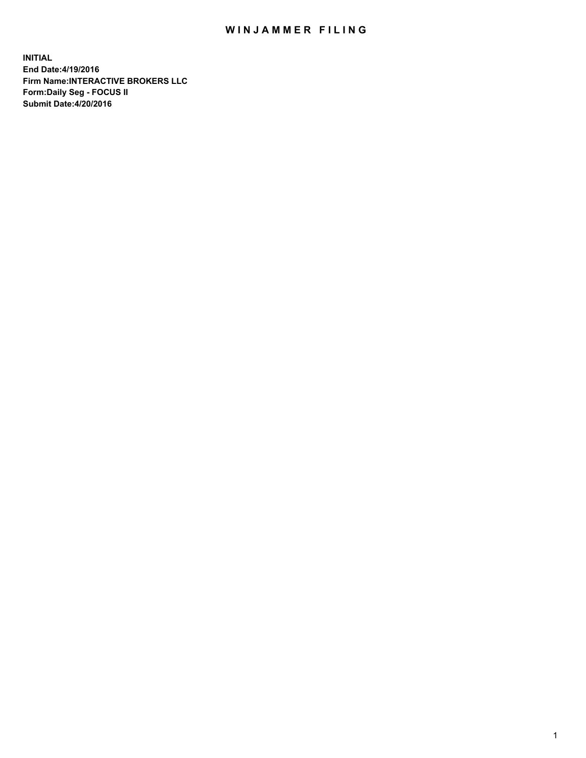## WIN JAMMER FILING

**INITIAL End Date:4/19/2016 Firm Name:INTERACTIVE BROKERS LLC Form:Daily Seg - FOCUS II Submit Date:4/20/2016**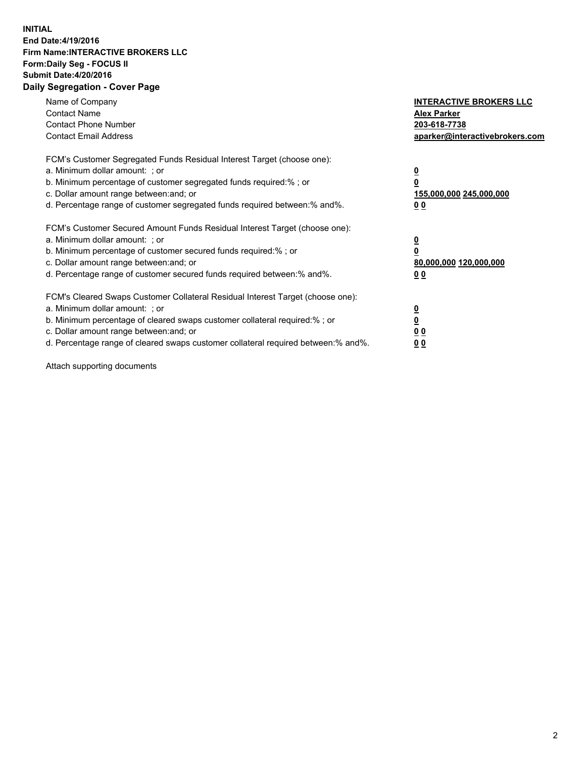## **INITIAL End Date:4/19/2016 Firm Name:INTERACTIVE BROKERS LLC Form:Daily Seg - FOCUS II Submit Date:4/20/2016 Daily Segregation - Cover Page**

| Name of Company<br><b>Contact Name</b><br><b>Contact Phone Number</b><br><b>Contact Email Address</b>                                                                                                                                                                                                                         | <b>INTERACTIVE BROKERS LLC</b><br><b>Alex Parker</b><br>203-618-7738<br>aparker@interactivebrokers.com |
|-------------------------------------------------------------------------------------------------------------------------------------------------------------------------------------------------------------------------------------------------------------------------------------------------------------------------------|--------------------------------------------------------------------------------------------------------|
| FCM's Customer Segregated Funds Residual Interest Target (choose one):<br>a. Minimum dollar amount: ; or<br>b. Minimum percentage of customer segregated funds required:% ; or<br>c. Dollar amount range between: and; or<br>d. Percentage range of customer segregated funds required between:% and%.                        | <u>0</u><br>155,000,000 245,000,000<br>0 <sub>0</sub>                                                  |
| FCM's Customer Secured Amount Funds Residual Interest Target (choose one):<br>a. Minimum dollar amount: ; or<br>b. Minimum percentage of customer secured funds required:%; or<br>c. Dollar amount range between: and; or<br>d. Percentage range of customer secured funds required between: % and %.                         | <u>0</u><br>80,000,000 120,000,000<br><u>00</u>                                                        |
| FCM's Cleared Swaps Customer Collateral Residual Interest Target (choose one):<br>a. Minimum dollar amount: ; or<br>b. Minimum percentage of cleared swaps customer collateral required:%; or<br>c. Dollar amount range between: and; or<br>d. Percentage range of cleared swaps customer collateral required between:% and%. | <u>0</u><br>0 <sub>0</sub><br>0 <sub>0</sub>                                                           |

Attach supporting documents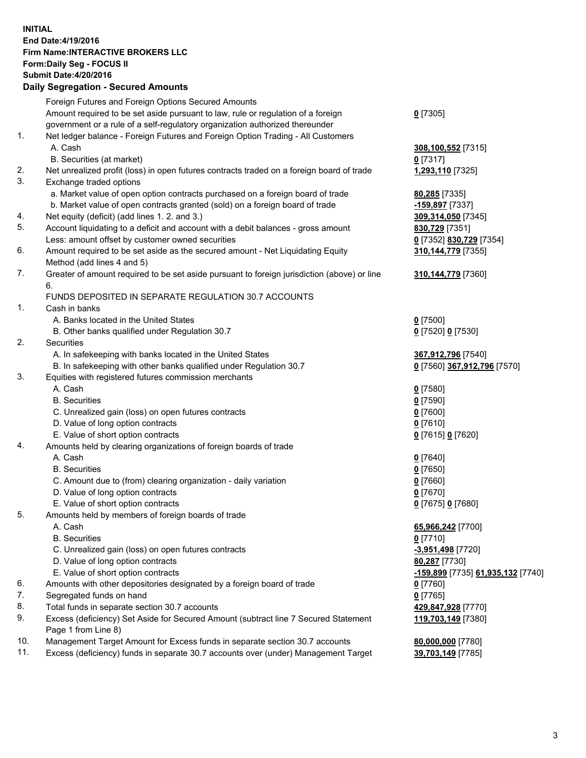## **INITIAL End Date:4/19/2016 Firm Name:INTERACTIVE BROKERS LLC Form:Daily Seg - FOCUS II Submit Date:4/20/2016 Daily Segregation - Secured Amounts**

|     | Foreign Futures and Foreign Options Secured Amounts                                         |                                                 |
|-----|---------------------------------------------------------------------------------------------|-------------------------------------------------|
|     | Amount required to be set aside pursuant to law, rule or regulation of a foreign            | $0$ [7305]                                      |
|     | government or a rule of a self-regulatory organization authorized thereunder                |                                                 |
| 1.  | Net ledger balance - Foreign Futures and Foreign Option Trading - All Customers             |                                                 |
|     | A. Cash                                                                                     | 308,100,552 [7315]                              |
|     | B. Securities (at market)                                                                   | $0$ [7317]                                      |
| 2.  | Net unrealized profit (loss) in open futures contracts traded on a foreign board of trade   | 1,293,110 [7325]                                |
| 3.  | Exchange traded options                                                                     |                                                 |
|     | a. Market value of open option contracts purchased on a foreign board of trade              | 80,285 [7335]                                   |
|     | b. Market value of open contracts granted (sold) on a foreign board of trade                | -159,897 [7337]                                 |
| 4.  | Net equity (deficit) (add lines 1.2. and 3.)                                                | 309,314,050 [7345]                              |
| 5.  | Account liquidating to a deficit and account with a debit balances - gross amount           | 830,729 [7351]                                  |
|     | Less: amount offset by customer owned securities                                            | 0 [7352] 830,729 [7354]                         |
| 6.  | Amount required to be set aside as the secured amount - Net Liquidating Equity              | 310,144,779 [7355]                              |
|     | Method (add lines 4 and 5)                                                                  |                                                 |
| 7.  | Greater of amount required to be set aside pursuant to foreign jurisdiction (above) or line | 310, 144, 779 [7360]                            |
|     | 6.                                                                                          |                                                 |
|     | FUNDS DEPOSITED IN SEPARATE REGULATION 30.7 ACCOUNTS                                        |                                                 |
| 1.  | Cash in banks                                                                               |                                                 |
|     | A. Banks located in the United States                                                       | $0$ [7500]                                      |
|     | B. Other banks qualified under Regulation 30.7                                              | 0 [7520] 0 [7530]                               |
| 2.  | Securities                                                                                  |                                                 |
|     | A. In safekeeping with banks located in the United States                                   | 367,912,796 [7540]                              |
|     | B. In safekeeping with other banks qualified under Regulation 30.7                          | 0 [7560] 367,912,796 [7570]                     |
| 3.  | Equities with registered futures commission merchants                                       |                                                 |
|     | A. Cash                                                                                     | $0$ [7580]                                      |
|     | <b>B.</b> Securities                                                                        | $0$ [7590]                                      |
|     | C. Unrealized gain (loss) on open futures contracts                                         | $0$ [7600]                                      |
|     | D. Value of long option contracts                                                           | $0$ [7610]                                      |
|     | E. Value of short option contracts                                                          | 0 [7615] 0 [7620]                               |
| 4.  | Amounts held by clearing organizations of foreign boards of trade                           |                                                 |
|     | A. Cash                                                                                     | $0$ [7640]                                      |
|     | <b>B.</b> Securities                                                                        | $0$ [7650]                                      |
|     | C. Amount due to (from) clearing organization - daily variation                             | $0$ [7660]                                      |
|     | D. Value of long option contracts                                                           | $0$ [7670]                                      |
|     | E. Value of short option contracts                                                          | 0 [7675] 0 [7680]                               |
| 5.  | Amounts held by members of foreign boards of trade                                          |                                                 |
|     | A. Cash                                                                                     | 65,966,242 [7700]                               |
|     | <b>B.</b> Securities                                                                        | $0$ [7710]                                      |
|     | C. Unrealized gain (loss) on open futures contracts                                         | -3,951,498 [7720]                               |
|     | D. Value of long option contracts                                                           | 80,287 [7730]                                   |
|     | E. Value of short option contracts                                                          | <u>-159,899</u> [7735] <u>61,935,132</u> [7740] |
| 6.  | Amounts with other depositories designated by a foreign board of trade                      | $0$ [7760]                                      |
| 7.  | Segregated funds on hand                                                                    | $0$ [7765]                                      |
| 8.  | Total funds in separate section 30.7 accounts                                               | 429,847,928 [7770]                              |
| 9.  | Excess (deficiency) Set Aside for Secured Amount (subtract line 7 Secured Statement         | 119,703,149 [7380]                              |
|     | Page 1 from Line 8)                                                                         |                                                 |
| 10. | Management Target Amount for Excess funds in separate section 30.7 accounts                 | 80,000,000 [7780]                               |
| 11. | Excess (deficiency) funds in separate 30.7 accounts over (under) Management Target          | 39,703,149 [7785]                               |
|     |                                                                                             |                                                 |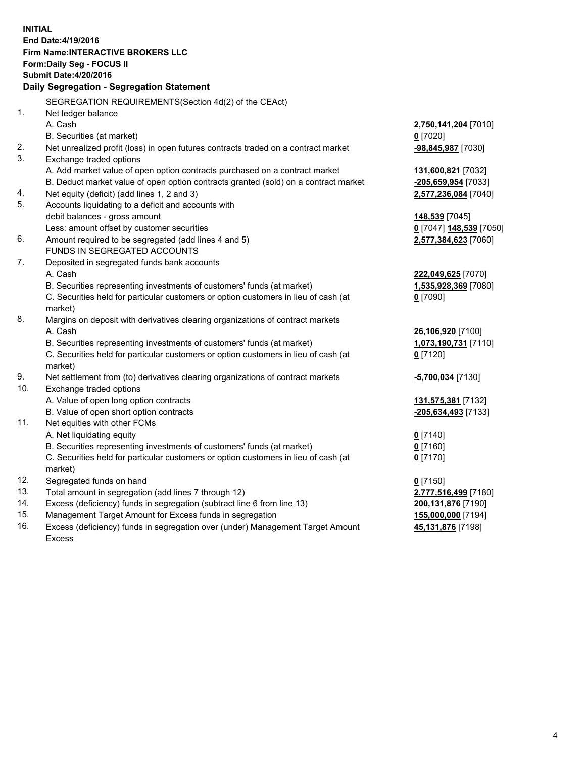**INITIAL End Date:4/19/2016 Firm Name:INTERACTIVE BROKERS LLC Form:Daily Seg - FOCUS II Submit Date:4/20/2016 Daily Segregation - Segregation Statement** SEGREGATION REQUIREMENTS(Section 4d(2) of the CEAct) 1. Net ledger balance A. Cash **2,750,141,204** [7010] B. Securities (at market) **0** [7020] 2. Net unrealized profit (loss) in open futures contracts traded on a contract market **-98,845,987** [7030] 3. Exchange traded options A. Add market value of open option contracts purchased on a contract market **131,600,821** [7032] B. Deduct market value of open option contracts granted (sold) on a contract market **-205,659,954** [7033] 4. Net equity (deficit) (add lines 1, 2 and 3) **2,577,236,084** [7040] 5. Accounts liquidating to a deficit and accounts with debit balances - gross amount **148,539** [7045] Less: amount offset by customer securities **0** [7047] **148,539** [7050] 6. Amount required to be segregated (add lines 4 and 5) **2,577,384,623** [7060] FUNDS IN SEGREGATED ACCOUNTS 7. Deposited in segregated funds bank accounts A. Cash **222,049,625** [7070] B. Securities representing investments of customers' funds (at market) **1,535,928,369** [7080] C. Securities held for particular customers or option customers in lieu of cash (at market) **0** [7090] 8. Margins on deposit with derivatives clearing organizations of contract markets A. Cash **26,106,920** [7100] B. Securities representing investments of customers' funds (at market) **1,073,190,731** [7110] C. Securities held for particular customers or option customers in lieu of cash (at market) **0** [7120] 9. Net settlement from (to) derivatives clearing organizations of contract markets **-5,700,034** [7130] 10. Exchange traded options A. Value of open long option contracts **131,575,381** [7132] B. Value of open short option contracts **-205,634,493** [7133] 11. Net equities with other FCMs A. Net liquidating equity **0** [7140] B. Securities representing investments of customers' funds (at market) **0** [7160] C. Securities held for particular customers or option customers in lieu of cash (at market) **0** [7170] 12. Segregated funds on hand **0** [7150] 13. Total amount in segregation (add lines 7 through 12) **2,777,516,499** [7180] 14. Excess (deficiency) funds in segregation (subtract line 6 from line 13) **200,131,876** [7190] 15. Management Target Amount for Excess funds in segregation **155,000,000** [7194] **45,131,876** [7198]

16. Excess (deficiency) funds in segregation over (under) Management Target Amount Excess